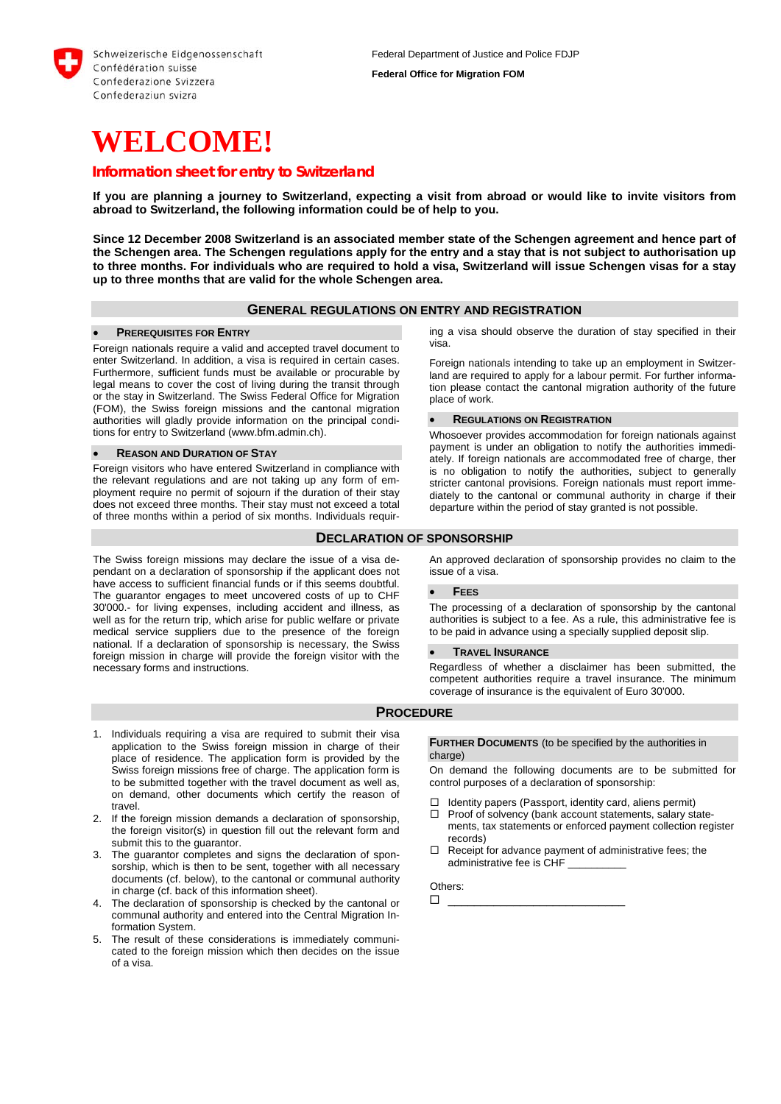

# **WELCOME!**

# *Information sheet for entry to Switzerland*

**If you are planning a journey to Switzerland, expecting a visit from abroad or would like to invite visitors from abroad to Switzerland, the following information could be of help to you.** 

**Since 12 December 2008 Switzerland is an associated member state of the Schengen agreement and hence part of the Schengen area. The Schengen regulations apply for the entry and a stay that is not subject to authorisation up to three months. For individuals who are required to hold a visa, Switzerland will issue Schengen visas for a stay up to three months that are valid for the whole Schengen area.** 

## **GENERAL REGULATIONS ON ENTRY AND REGISTRATION**

#### **PREREQUISITES FOR ENTRY**

Foreign nationals require a valid and accepted travel document to enter Switzerland. In addition, a visa is required in certain cases. Furthermore, sufficient funds must be available or procurable by legal means to cover the cost of living during the transit through or the stay in Switzerland. The Swiss Federal Office for Migration (FOM), the Swiss foreign missions and the cantonal migration authorities will gladly provide information on the principal conditions for entry to Switzerland (www.bfm.admin.ch).

### **REASON AND DURATION OF STAY**

Foreign visitors who have entered Switzerland in compliance with the relevant regulations and are not taking up any form of employment require no permit of sojourn if the duration of their stay does not exceed three months. Their stay must not exceed a total of three months within a period of six months. Individuals requir-

The Swiss foreign missions may declare the issue of a visa dependant on a declaration of sponsorship if the applicant does not have access to sufficient financial funds or if this seems doubtful. The guarantor engages to meet uncovered costs of up to CHF 30'000.- for living expenses, including accident and illness, as well as for the return trip, which arise for public welfare or private medical service suppliers due to the presence of the foreign national. If a declaration of sponsorship is necessary, the Swiss foreign mission in charge will provide the foreign visitor with the necessary forms and instructions.

ing a visa should observe the duration of stay specified in their visa.

Foreign nationals intending to take up an employment in Switzerland are required to apply for a labour permit. For further information please contact the cantonal migration authority of the future place of work.

#### **REGULATIONS ON REGISTRATION**

Whosoever provides accommodation for foreign nationals against payment is under an obligation to notify the authorities immediately. If foreign nationals are accommodated free of charge, ther is no obligation to notify the authorities, subject to generally stricter cantonal provisions. Foreign nationals must report immediately to the cantonal or communal authority in charge if their departure within the period of stay granted is not possible.

## **DECLARATION OF SPONSORSHIP**

An approved declaration of sponsorship provides no claim to the issue of a visa.

#### **FEES**

The processing of a declaration of sponsorship by the cantonal authorities is subject to a fee. As a rule, this administrative fee is to be paid in advance using a specially supplied deposit slip.

## **TRAVEL INSURANCE**

Regardless of whether a disclaimer has been submitted, the competent authorities require a travel insurance. The minimum coverage of insurance is the equivalent of Euro 30'000.

## **PROCEDURE**

- 1. Individuals requiring a visa are required to submit their visa application to the Swiss foreign mission in charge of their place of residence. The application form is provided by the Swiss foreign missions free of charge. The application form is to be submitted together with the travel document as well as, on demand, other documents which certify the reason of travel.
- 2. If the foreign mission demands a declaration of sponsorship, the foreign visitor(s) in question fill out the relevant form and submit this to the guarantor.
- 3. The guarantor completes and signs the declaration of sponsorship, which is then to be sent, together with all necessary documents (cf. below), to the cantonal or communal authority in charge (cf. back of this information sheet).
- 4. The declaration of sponsorship is checked by the cantonal or communal authority and entered into the Central Migration Information System.
- 5. The result of these considerations is immediately communicated to the foreign mission which then decides on the issue of a visa.

**FURTHER DOCUMENTS** (to be specified by the authorities in charge<sup>)</sup>

On demand the following documents are to be submitted for control purposes of a declaration of sponsorship:

- Identity papers (Passport, identity card, aliens permit)
- $\Box$  Proof of solvency (bank account statements, salary statements, tax statements or enforced payment collection register records)
- $\Box$  Receipt for advance payment of administrative fees; the administrative fee is CHF \_\_\_\_\_\_\_\_\_\_

\_\_\_\_\_\_\_\_\_\_\_\_\_\_\_\_\_\_\_\_\_\_\_\_\_\_\_

Others: